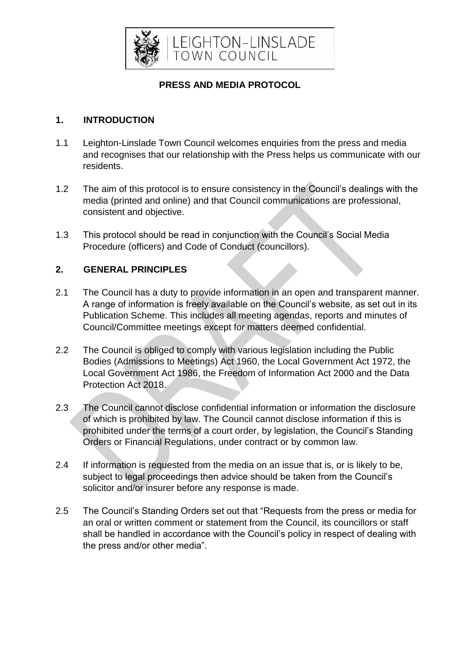

# **PRESS AND MEDIA PROTOCOL**

# **1. INTRODUCTION**

- 1.1 Leighton-Linslade Town Council welcomes enquiries from the press and media and recognises that our relationship with the Press helps us communicate with our residents.
- 1.2 The aim of this protocol is to ensure consistency in the Council's dealings with the media (printed and online) and that Council communications are professional, consistent and objective.
- 1.3 This protocol should be read in conjunction with the Council's Social Media Procedure (officers) and Code of Conduct (councillors).

# **2. GENERAL PRINCIPLES**

- 2.1 The Council has a duty to provide information in an open and transparent manner. A range of information is freely available on the Council's website, as set out in its Publication Scheme. This includes all meeting agendas, reports and minutes of Council/Committee meetings except for matters deemed confidential.
- 2.2 The Council is obliged to comply with various legislation including the Public Bodies (Admissions to Meetings) Act 1960, the Local Government Act 1972, the Local Government Act 1986, the Freedom of Information Act 2000 and the Data Protection Act 2018.
- 2.3 The Council cannot disclose confidential information or information the disclosure of which is prohibited by law. The Council cannot disclose information if this is prohibited under the terms of a court order, by legislation, the Council's Standing Orders or Financial Regulations, under contract or by common law.
- 2.4 If information is requested from the media on an issue that is, or is likely to be, subject to legal proceedings then advice should be taken from the Council's solicitor and/or insurer before any response is made.
- 2.5 The Council's Standing Orders set out that "Requests from the press or media for an oral or written comment or statement from the Council, its councillors or staff shall be handled in accordance with the Council's policy in respect of dealing with the press and/or other media".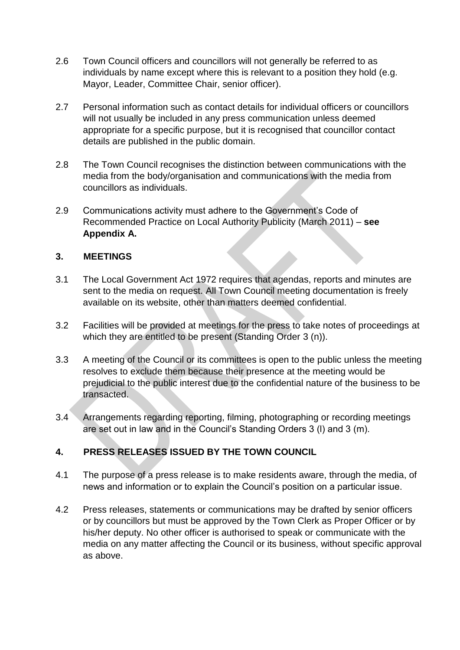- 2.6 Town Council officers and councillors will not generally be referred to as individuals by name except where this is relevant to a position they hold (e.g. Mayor, Leader, Committee Chair, senior officer).
- 2.7 Personal information such as contact details for individual officers or councillors will not usually be included in any press communication unless deemed appropriate for a specific purpose, but it is recognised that councillor contact details are published in the public domain.
- 2.8 The Town Council recognises the distinction between communications with the media from the body/organisation and communications with the media from councillors as individuals.
- 2.9 Communications activity must adhere to the Government's Code of Recommended Practice on Local Authority Publicity (March 2011) – **see Appendix A.**

### **3. MEETINGS**

- 3.1 The Local Government Act 1972 requires that agendas, reports and minutes are sent to the media on request. All Town Council meeting documentation is freely available on its website, other than matters deemed confidential.
- 3.2 Facilities will be provided at meetings for the press to take notes of proceedings at which they are entitled to be present (Standing Order 3 (n)).
- 3.3 A meeting of the Council or its committees is open to the public unless the meeting resolves to exclude them because their presence at the meeting would be prejudicial to the public interest due to the confidential nature of the business to be transacted.
- 3.4 Arrangements regarding reporting, filming, photographing or recording meetings are set out in law and in the Council's Standing Orders 3 (l) and 3 (m).

# **4. PRESS RELEASES ISSUED BY THE TOWN COUNCIL**

- 4.1 The purpose of a press release is to make residents aware, through the media, of news and information or to explain the Council's position on a particular issue.
- 4.2 Press releases, statements or communications may be drafted by senior officers or by councillors but must be approved by the Town Clerk as Proper Officer or by his/her deputy. No other officer is authorised to speak or communicate with the media on any matter affecting the Council or its business, without specific approval as above.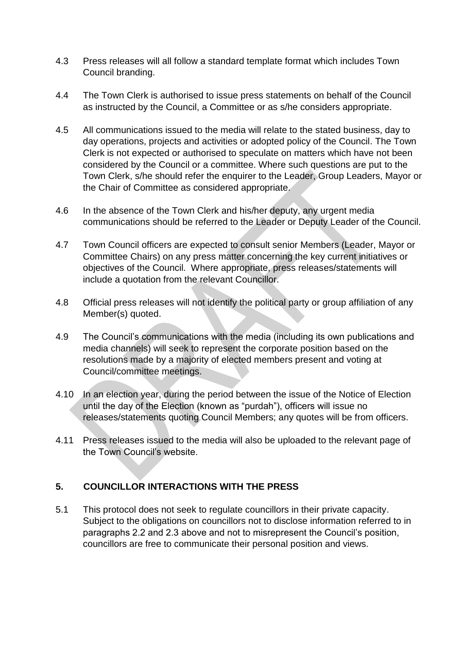- 4.3 Press releases will all follow a standard template format which includes Town Council branding.
- 4.4 The Town Clerk is authorised to issue press statements on behalf of the Council as instructed by the Council, a Committee or as s/he considers appropriate.
- 4.5 All communications issued to the media will relate to the stated business, day to day operations, projects and activities or adopted policy of the Council. The Town Clerk is not expected or authorised to speculate on matters which have not been considered by the Council or a committee. Where such questions are put to the Town Clerk, s/he should refer the enquirer to the Leader, Group Leaders, Mayor or the Chair of Committee as considered appropriate.
- 4.6 In the absence of the Town Clerk and his/her deputy, any urgent media communications should be referred to the Leader or Deputy Leader of the Council.
- 4.7 Town Council officers are expected to consult senior Members (Leader, Mayor or Committee Chairs) on any press matter concerning the key current initiatives or objectives of the Council. Where appropriate, press releases/statements will include a quotation from the relevant Councillor.
- 4.8 Official press releases will not identify the political party or group affiliation of any Member(s) quoted.
- 4.9 The Council's communications with the media (including its own publications and media channels) will seek to represent the corporate position based on the resolutions made by a majority of elected members present and voting at Council/committee meetings.
- 4.10 In an election year, during the period between the issue of the Notice of Election until the day of the Election (known as "purdah"), officers will issue no releases/statements quoting Council Members; any quotes will be from officers.
- 4.11 Press releases issued to the media will also be uploaded to the relevant page of the Town Council's website.

# **5. COUNCILLOR INTERACTIONS WITH THE PRESS**

5.1 This protocol does not seek to regulate councillors in their private capacity. Subject to the obligations on councillors not to disclose information referred to in paragraphs 2.2 and 2.3 above and not to misrepresent the Council's position, councillors are free to communicate their personal position and views.